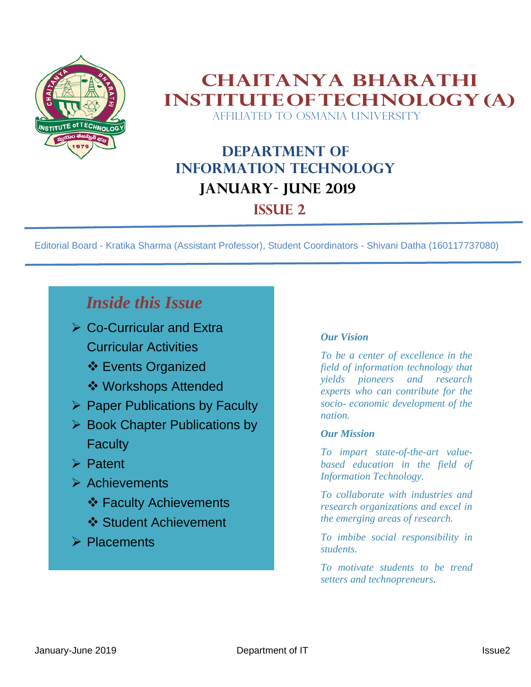

#### **Chaitanya Bharathi InstituteofTechnology(A)** AFFILIATED TO OSMANIA UNIVERSITY

## **Department of Information Technology JANUARY- JUNE 2019 ISSUE 2**

Editorial Board - Kratika Sharma (Assistant Professor), Student Coordinators - Shivani Datha (160117737080)

## *Inside this Issue*

- ➢ Co-Curricular and Extra Curricular Activities
	- ❖ Events Organized
	- ❖ Workshops Attended
- ➢ Paper Publications by Faculty
- ➢ Book Chapter Publications by **Faculty**
- ➢ Patent
- ➢ Achievements
	- ❖ Faculty Achievements
	- ❖ Student Achievement
- ➢ Placements

#### *Our Vision*

*To be a center of excellence in the field of information technology that yields pioneers and research experts who can contribute for the socio- economic development of the nation.*

#### *Our Mission*

*To impart state-of-the-art valuebased education in the field of Information Technology.*

*To collaborate with industries and research organizations and excel in the emerging areas of research.*

*To imbibe social responsibility in students.*

*To motivate students to be trend setters and technopreneurs.*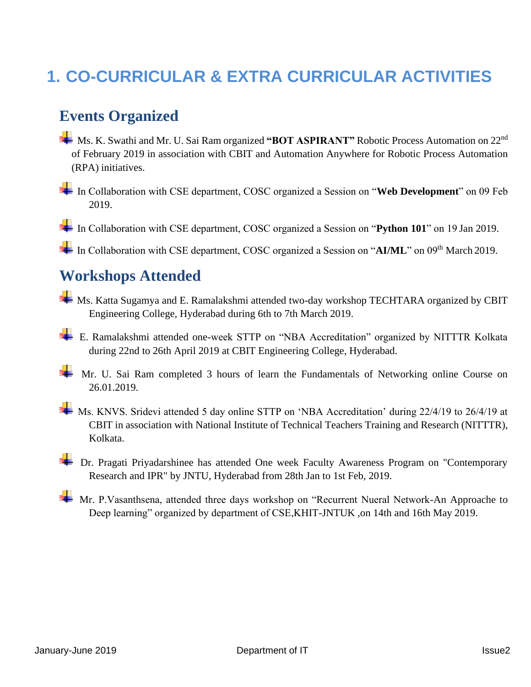## **1. CO-CURRICULAR & EXTRA CURRICULAR ACTIVITIES**

#### **Events Organized**

- **H** Ms. K. Swathi and Mr. U. Sai Ram organized "BOT ASPIRANT" Robotic Process Automation on 22<sup>nd</sup> of February 2019 in association with CBIT and Automation Anywhere for Robotic Process Automation (RPA) initiatives.
- In Collaboration with CSE department, COSC organized a Session on "**Web Development**" on 09 Feb 2019.

In Collaboration with CSE department, COSC organized a Session on "Python 101" on 19 Jan 2019.

In Collaboration with CSE department, COSC organized a Session on "AI/ML" on 09<sup>th</sup> March 2019.

#### **Workshops Attended**

- Ms. Katta Sugamya and E. Ramalakshmi attended two-day workshop TECHTARA organized by CBIT Engineering College, Hyderabad during 6th to 7th March 2019.
- E. Ramalakshmi attended one-week STTP on "NBA Accreditation" organized by NITTTR Kolkata during 22nd to 26th April 2019 at CBIT Engineering College, Hyderabad.
- Mr. U. Sai Ram completed 3 hours of learn the Fundamentals of Networking online Course on 26.01.2019.
- Ms. KNVS. Sridevi attended 5 day online STTP on 'NBA Accreditation' during 22/4/19 to 26/4/19 at CBIT in association with National Institute of Technical Teachers Training and Research (NITTTR), Kolkata.
- **External Privadarshinee has attended One week Faculty Awareness Program on "Contemporary** Research and IPR" by JNTU, Hyderabad from 28th Jan to 1st Feb, 2019.
- Mr. P.Vasanthsena, attended three days workshop on "Recurrent Nueral Network-An Approache to Deep learning" organized by department of CSE,KHIT-JNTUK ,on 14th and 16th May 2019.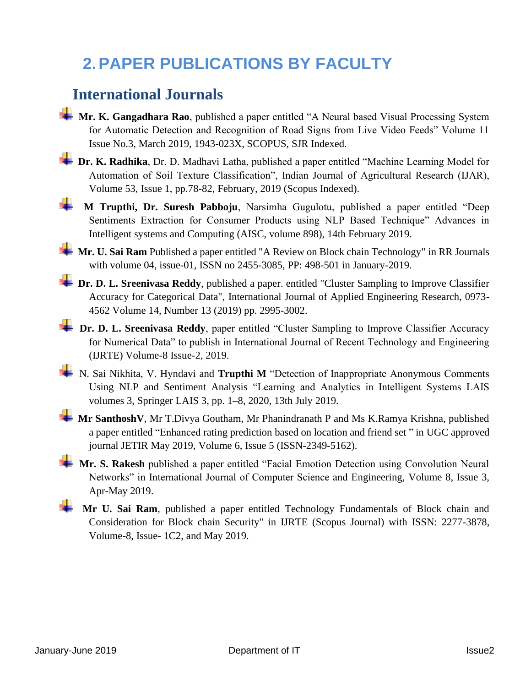# **2.PAPER PUBLICATIONS BY FACULTY**

#### **International Journals**

- **Mr. K. Gangadhara Rao**, published a paper entitled "A Neural based Visual Processing System for Automatic Detection and Recognition of Road Signs from Live Video Feeds" Volume 11 Issue No.3, March 2019, 1943-023X, SCOPUS, SJR Indexed.
- **1** Dr. K. Radhika, Dr. D. Madhavi Latha, published a paper entitled "Machine Learning Model for Automation of Soil Texture Classification", Indian Journal of Agricultural Research (IJAR), Volume 53, Issue 1, pp.78-82, February, 2019 (Scopus Indexed).
	- **M Trupthi, Dr. Suresh Pabboju**, Narsimha Gugulotu, published a paper entitled "Deep Sentiments Extraction for Consumer Products using NLP Based Technique" Advances in Intelligent systems and Computing (AISC, volume 898), 14th February 2019.

**Mr. U. Sai Ram** Published a paper entitled "A Review on Block chain Technology" in RR Journals with volume 04, issue-01, ISSN no 2455-3085, PP: 498-501 in January-2019.

**Dr. D. L. Sreenivasa Reddy**, published a paper. entitled "Cluster Sampling to Improve Classifier Accuracy for Categorical Data", International Journal of Applied Engineering Research, 0973- 4562 Volume 14, Number 13 (2019) pp. 2995-3002.

**+** Dr. D. L. Sreenivasa Reddy, paper entitled "Cluster Sampling to Improve Classifier Accuracy for Numerical Data" to publish in International Journal of Recent Technology and Engineering (IJRTE) Volume-8 Issue-2, 2019.

N. Sai Nikhita, V. Hyndavi and Trupthi M "Detection of Inappropriate Anonymous Comments Using NLP and Sentiment Analysis "Learning and Analytics in Intelligent Systems LAIS volumes 3, Springer LAIS 3, pp. 1–8, 2020, 13th July 2019.

**Mr SanthoshV**, Mr T.Divya Goutham, Mr Phanindranath P and Ms K.Ramya Krishna, published a paper entitled "Enhanced rating prediction based on location and friend set " in UGC approved journal JETIR May 2019, Volume 6, Issue 5 (ISSN-2349-5162).

**Mr. S. Rakesh** published a paper entitled "Facial Emotion Detection using Convolution Neural Networks" in International Journal of Computer Science and Engineering, Volume 8, Issue 3, Apr-May 2019.

**Mr U. Sai Ram**, published a paper entitled Technology Fundamentals of Block chain and Consideration for Block chain Security" in IJRTE (Scopus Journal) with ISSN: 2277-3878, Volume-8, Issue- 1C2, and May 2019.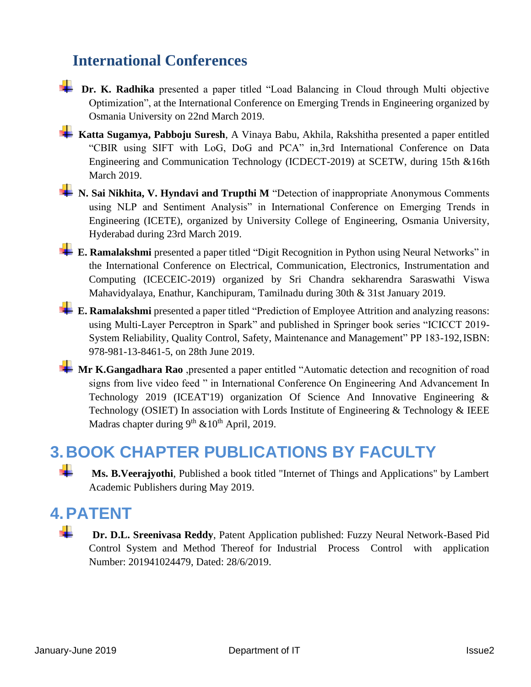### **International Conferences**



**Katta Sugamya, Pabboju Suresh**, A Vinaya Babu, Akhila, Rakshitha presented a paper entitled "CBIR using SIFT with LoG, DoG and PCA" in,3rd International Conference on Data Engineering and Communication Technology (ICDECT-2019) at SCETW, during 15th &16th March 2019.

**1** N. Sai Nikhita, V. Hyndavi and Trupthi M "Detection of inappropriate Anonymous Comments using NLP and Sentiment Analysis" in International Conference on Emerging Trends in Engineering (ICETE), organized by University College of Engineering, Osmania University, Hyderabad during 23rd March 2019.

**E. Ramalakshmi** presented a paper titled "Digit Recognition in Python using Neural Networks" in the International Conference on Electrical, Communication, Electronics, Instrumentation and Computing (ICECEIC-2019) organized by Sri Chandra sekharendra Saraswathi Viswa Mahavidyalaya, Enathur, Kanchipuram, Tamilnadu during 30th & 31st January 2019.

**E. Ramalakshmi** presented a paper titled "Prediction of Employee Attrition and analyzing reasons: using Multi-Layer Perceptron in Spark" and published in Springer book series "ICICCT 2019- System Reliability, Quality Control, Safety, Maintenance and Management" PP 183-192,ISBN: 978-981-13-8461-5, on 28th June 2019.

**Mr K.Gangadhara Rao** ,presented a paper entitled "Automatic detection and recognition of road signs from live video feed " in International Conference On Engineering And Advancement In Technology 2019 (ICEAT'19) organization Of Science And Innovative Engineering & Technology (OSIET) In association with Lords Institute of Engineering & Technology & IEEE Madras chapter during  $9^{th}$  &  $10^{th}$  April, 2019.

## **3.BOOK CHAPTER PUBLICATIONS BY FACULTY**

**Ms. B.Veerajyothi**, Published a book titled "Internet of Things and Applications" by Lambert Academic Publishers during May 2019.

## **4.PATENT**

 **Dr. D.L. Sreenivasa Reddy**, Patent Application published: Fuzzy Neural Network-Based Pid Control System and Method Thereof for Industrial Process Control with application Number: 201941024479, Dated: 28/6/2019.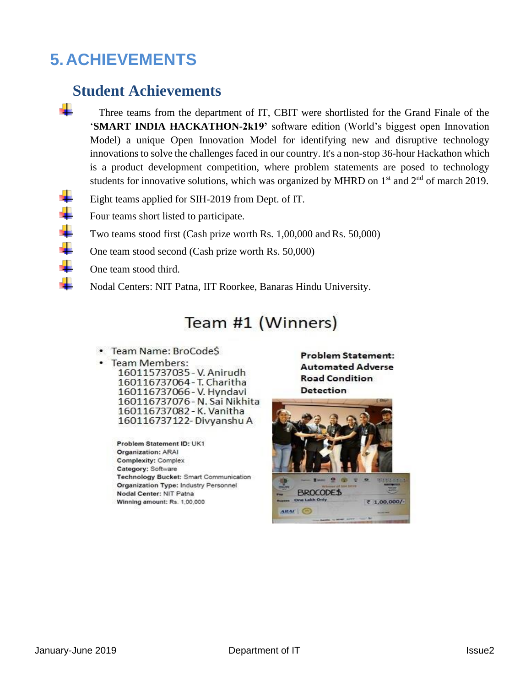## **5.ACHIEVEMENTS**

#### **Student Achievements**

- Three teams from the department of IT, CBIT were shortlisted for the Grand Finale of the '**SMART INDIA HACKATHON-2k19'** software edition (World's biggest open Innovation Model) a unique Open Innovation Model for identifying new and disruptive technology innovationsto solve the challenges faced in our country. It's a non-stop 36-hour Hackathon which is a product development competition, where problem statements are posed to technology students for innovative solutions, which was organized by MHRD on  $1<sup>st</sup>$  and  $2<sup>nd</sup>$  of march 2019.
- Eight teams applied for SIH-2019 from Dept. of IT.
- Four teams short listed to participate.
- Two teams stood first (Cash prize worth Rs. 1,00,000 and Rs. 50,000)
- One team stood second (Cash prize worth Rs. 50,000)
- One team stood third.
	- Nodal Centers: NIT Patna, IIT Roorkee, Banaras Hindu University.

## Team #1 (Winners)

- Team Name: BroCodeS
- Team Members:

160115737035 - V. Anirudh 160116737064 - T. Charitha 160116737066 - V. Hyndavi 160116737076 - N. Sai Nikhita 160116737082 - K. Vanitha 160116737122-Divyanshu A

Problem Statement ID: UK1 **Organization: ARAI Complexity: Complex** Category: Software Technology Bucket: Smart Communication Organization Type: Industry Personnel Nodal Center: NIT Patna Winning amount: Rs. 1,00,000

**Problem Statement: Automated Adverse Road Condition Detection** 

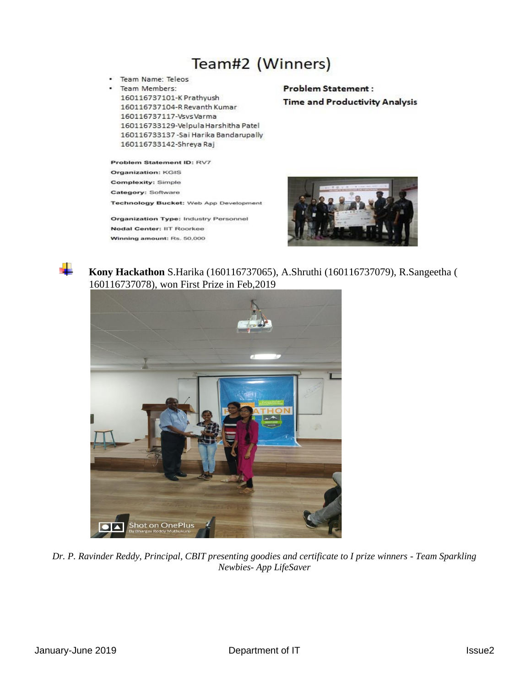## Team#2 (Winners)

· Team Name: Teleos Team Members: 160116737101-K Prathyush 160116737104-R Revanth Kumar 160116737117-VsvsVarma 160116733129-Velpula Harshitha Patel 160116733137 - Sai Harika Bandarupally 160116733142-Shreya Raj

Problem Statement ID: RV7 **Organization: KGIS** Complexity: Simple Category: Software Technology Bucket: Web App Development

Organization Type: Industry Personnel Nodal Center: IIT Roorkee Winning amount: Rs. 50,000

#### **Problem Statement: Time and Productivity Analysis**





 **Kony Hackathon** S.Harika (160116737065), A.Shruthi (160116737079), R.Sangeetha ( 160116737078), won First Prize in Feb,2019



*Dr. P. Ravinder Reddy, Principal, CBIT presenting goodies and certificate to I prize winners - Team Sparkling Newbies- App LifeSaver*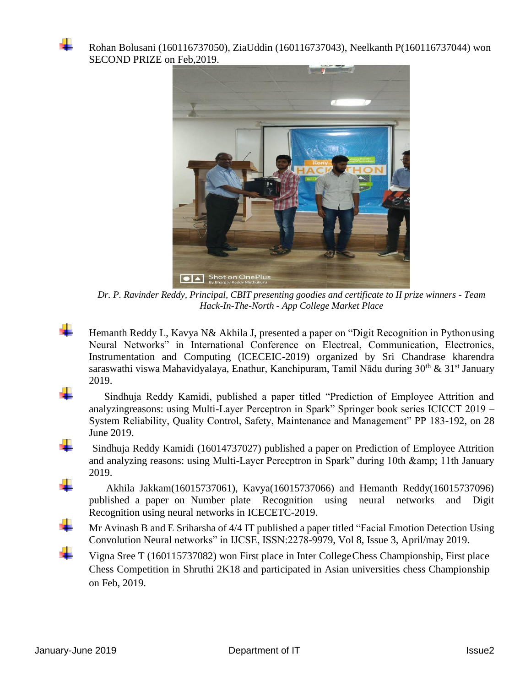

Rohan Bolusani (160116737050), ZiaUddin (160116737043), Neelkanth P(160116737044) won SECOND PRIZE on Feb,2019.



*Dr. P. Ravinder Reddy, Principal, CBIT presenting goodies and certificate to II prize winners - Team Hack-In-The-North - App College Market Place*

 Hemanth Reddy L, Kavya N& Akhila J, presented a paper on "Digit Recognition in Python using Neural Networks" in International Conference on Electrcal, Communication, Electronics, Instrumentation and Computing (ICECEIC-2019) organized by Sri Chandrase kharendra saraswathi viswa Mahavidyalaya, Enathur, Kanchipuram, Tamil Nādu during  $30<sup>th</sup> \& 31<sup>st</sup>$  January 2019.



 Sindhuja Reddy Kamidi, published a paper titled "Prediction of Employee Attrition and analyzingreasons: using Multi-Layer Perceptron in Spark" Springer book series ICICCT 2019 – System Reliability, Quality Control, Safety, Maintenance and Management" PP 183-192, on 28 June 2019.

 Sindhuja Reddy Kamidi (16014737027) published a paper on Prediction of Employee Attrition and analyzing reasons: using Multi-Layer Perceptron in Spark" during 10th & amp; 11th January 2019.

 Akhila Jakkam(16015737061), Kavya(16015737066) and Hemanth Reddy(16015737096) published a paper on Number plate Recognition using neural networks and Digit Recognition using neural networks in ICECETC-2019.

 Mr Avinash B and E Sriharsha of 4/4 IT published a paper titled "Facial Emotion Detection Using Convolution Neural networks" in IJCSE, ISSN:2278-9979, Vol 8, Issue 3, April/may 2019.

 Vigna Sree T (160115737082) won First place in Inter CollegeChess Championship, First place Chess Competition in Shruthi 2K18 and participated in Asian universities chess Championship on Feb, 2019.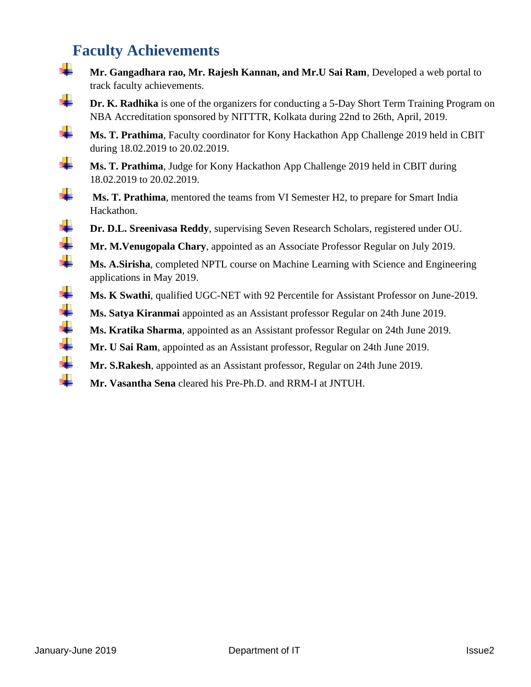## **Faculty Achievements**

track faculty achievements. **Dr.** K. **Radhika** is one of the organizers for conducting a 5-Day Short Term Training Program on NBA Accreditation sponsored by NITTTR, Kolkata during 22nd to 26th, April, 2019. **Ms. T. Prathima**, Faculty coordinator for Kony Hackathon App Challenge 2019 held in CBIT during 18.02.2019 to 20.02.2019. **Ms. T. Prathima**, Judge for Kony Hackathon App Challenge 2019 held in CBIT during 18.02.2019 to 20.02.2019. **Ms. T. Prathima**, mentored the teams from VI Semester H2, to prepare for Smart India Hackathon. **Dr. D.L. Sreenivasa Reddy**, supervising Seven Research Scholars, registered under OU. **Mr. M.Venugopala Chary**, appointed as an Associate Professor Regular on July 2019. **Ms. A.Sirisha**, completed NPTL course on Machine Learning with Science and Engineering applications in May 2019. **Ms. K Swathi**, qualified UGC-NET with 92 Percentile for Assistant Professor on June-2019. **Ms. Satya Kiranmai** appointed as an Assistant professor Regular on 24th June 2019. **Ms. Kratika Sharma**, appointed as an Assistant professor Regular on 24th June 2019. **Mr. U Sai Ram**, appointed as an Assistant professor, Regular on 24th June 2019.

**Mr. Gangadhara rao, Mr. Rajesh Kannan, and Mr.U Sai Ram**, Developed a web portal to

- **Mr. S.Rakesh**, appointed as an Assistant professor, Regular on 24th June 2019.
- **Mr. Vasantha Sena** cleared his Pre-Ph.D. and RRM-I at JNTUH.